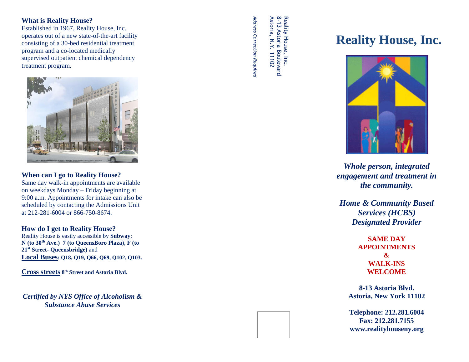# **What is Reality House?**

 supervised outpatient chemical dependency Established in 1967, Reality House, Inc. operates out of a new state -of-the -art facility consisting of a 30 -bed residential treatment program and a co -located medically treatment program.



# **When can I go to Reality House?**

Same day walk -in appointments are available on weekdays Monday – Friday beginning at 9:00 a.m. Appointments for intake can also be scheduled by contacting the Admissions Unit at 212 -281 -6004 or 866 -750 -8674.

## **How do I get to Reality House?**

Reality House is easily accessible by **Subway**: **N (to 30th Ave.) 7 (to QueensBoro Plaza**), **F (to 21st Street - Queensbridge)** and **Local Buses: Q18, Q19, Q66, Q69, Q102, Q103.**

**Cross streets 8 th Street and Astoria Blvd.**

*Certified by NYS Office of Alcoholism & Substance Abuse Services*

*Address Correction Required* Address Correction Required 8-13 Astoria Boulevard<br>Astoria, N.Y. 11102 Reality House, Inc. -13 Astoria Boulevard

Reality House, Inc.

Astoria, N.Y. 11102

# **Reality House, Inc.**



*Whole person, integrated engagement and treatment in the community.*

*Home & Community Based Services (HCBS) Designated Provider*

> **SAME DAY APPOINTMENTS & WALK -INS WELCOME**

**8 -13 Astoria Blvd. Astoria, New York 11102**

**Telephone: 212.281.6004 Fax: 212.281.7155 www.realityhouseny.org**